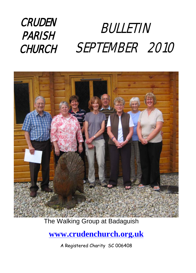#### **CRUDEN** PARISH **CHURCH** BULLETIN SEPTEMBER 2010



#### The Walking Group at Badaguish

### **[www.crudenchurch.org.uk](http://www.crudenchurch.org.uk/)**

A Registered Charity SC 006408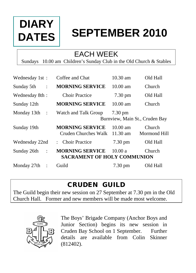# **DIARY DATES**

# **SEPTEMBER 2010**

## EACH WEEK

Sundays 10.00 am Children's Sunday Club in the Old Church & Stables

| Wednesday 1st:                     | Coffee and Chat                                                             | $10.30$ am                     | Old Hall               |
|------------------------------------|-----------------------------------------------------------------------------|--------------------------------|------------------------|
| Sunday 5th<br>$\ddot{\phantom{a}}$ | <b>MORNING SERVICE</b>                                                      | $10.00 \text{ am}$             | Church                 |
| Wednesday 8th:                     | <b>Choir Practice</b>                                                       | $7.30 \text{ pm}$              | Old Hall               |
| Sunday 12th                        | <b>MORNING SERVICE</b>                                                      | $10.00$ am                     | Church                 |
| Monday $13th$ :                    | Watch and Talk Group<br>$7.30 \text{ pm}$<br>Burnview, Main St., Cruden Bay |                                |                        |
|                                    |                                                                             |                                |                        |
| Sunday 19th                        | <b>MORNING SERVICE</b><br>Cruden Churches Walk                              | $10.00 \text{ am}$<br>11.30 am | Church<br>Mormond Hill |
| Wednesday 22nd                     | : Choir Practice                                                            | 7.30 pm                        | Old Hall               |
| Sunday 26th<br>$\therefore$        | <b>MORNING SERVICE</b><br><b>SACRAMENT OF HOLY COMMUNION</b>                | 10.00a                         | <b>Church</b>          |

### CRUDEN GUILD

The Guild begin their new session on 27 September at 7.30 pm in the Old Church Hall. Former and new members will be made most welcome.



The Boys' Brigade Company (Anchor Boys and Junior Section) begins its new session in Cruden Bay School on 1 September. Further details are available from Colin Skinner (812402).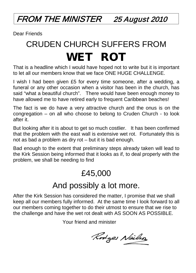FROM THE MINISTER 25 August 2010

Dear Friends

# CRUDEN CHURCH SUFFERS FROM WET ROT

That is a headline which I would have hoped not to write but it is important to let all our members know that we face ONE HUGE CHALLENGE.

I wish I had been given £5 for every time someone, after a wedding, a funeral or any other occasion when a visitor has been in the church, has said "what a beautiful church". There would have been enough money to have allowed me to have retired early to frequent Caribbean beaches!

The fact is we do have a very attractive church and the onus is on the congregation – on all who choose to belong to Cruden Church - to look after it.

But looking after it is about to get so much costlier. It has been confirmed that the problem with the east wall is extensive wet rot. Fortunately this is not as bad a problem as dry rot – but it is bad enough.

Bad enough to the extent that preliminary steps already taken will lead to the Kirk Session being informed that it looks as if, to deal properly with the problem, we shall be needing to find

## £45,000

## And possibly a lot more.

After the Kirk Session has considered the matter, I promise that we shall keep all our members fully informed. At the same time I look forward to all our members coming together to do their utmost to ensure that we rise to the challenge and have the wet rot dealt with AS SOON AS POSSIBLE.

Your friend and minister

Rodges Neilso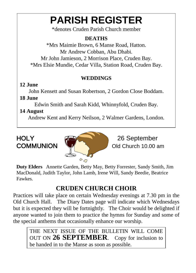# **PARISH REGISTER**

\*denotes Cruden Parish Church member

#### **DEATHS**

\*Mrs Maimie Brown, 6 Manse Road, Hatton. Mr Andrew Cobban, Abu Dhabi. Mr John Jamieson, 2 Morrison Place, Cruden Bay. \*Mrs Elsie Mundie, Cedar Villa, Station Road, Cruden Bay.

#### **WEDDINGS**

#### **12 June**

John Kensett and Susan Robertson, 2 Gordon Close Boddam. **18 June**

Edwin Smith and Sarah Kidd, Whinnyfold, Cruden Bay.

#### **14 August**

Andrew Kent and Kerry Neilson, 2 Walmer Gardens, London.



Old Church 10.00 am

**Duty Elders** Annette Garden, Betty May, Betty Forrester, Sandy Smith, Jim MacDonald, Judith Taylor, John Lamb, Irene Will, Sandy Beedie, Beatrice Fawkes.

### **CRUDEN CHURCH CHOIR**

Practices will take place on certain Wednesday evenings at 7.30 pm in the Old Church Hall. The Diary Dates page will indicate which Wednesdays but it is expected they will be fortnightly. The Choir would be delighted if anyone wanted to join them to practice the hymns for Sunday and some of the special anthems that occasionally enhance our worship.

THE NEXT ISSUE OF THE BULLETIN WILL COME OUT ON **26 SEPTEMBER**. Copy for inclusion to be handed in to the Manse as soon as possible.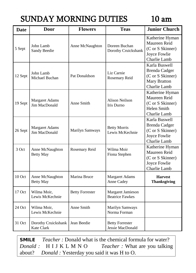## SUNDAY MORNING DUTIES 10 am

| Date    | <b>Door</b>                            | <b>Flowers</b>         | <b>Teas</b>                                 | <b>Junior Church</b>                                                                             |
|---------|----------------------------------------|------------------------|---------------------------------------------|--------------------------------------------------------------------------------------------------|
| 5 Sept  | John Lamb<br><b>Sandy Beedie</b>       | Anne McNaughton        | Doreen Buchan<br>Dorothy Cruickshank        | Katherine Hyman<br>Maureen Reid<br>(C or S Skinner)<br>Joyce Fowlie<br>Charlie Lamb              |
| 12 Sept | John Lamb<br>Michael Buchan            | Pat Donaldson          | Liz Carnie<br>Rosemary Reid                 | Karla Buswell<br><b>Brenda Cadger</b><br>(C or S Skinner)<br><b>Mary Bratton</b><br>Charlie Lamb |
| 19 Sept | <b>Margaret Adams</b><br>Jim MacDonald | Anne Smith             | <b>Alison Neilson</b><br>Iris Durno         | Katherine Hyman<br>Maureen Reid<br>(C or S Skinner)<br>Helen Smith<br>Charlie Lamb               |
| 26 Sept | <b>Margaret Adams</b><br>Jim MacDonald | Marilyn Samways        | <b>Betty Morris</b><br>Lewis McKechnie      | Karla Buswell<br><b>Brenda Cadger</b><br>(C or S Skinner)<br>Joyce Fowlie<br>Charlie Lamb        |
| 3 Oct   | Anne McNaughton<br><b>Betty May</b>    | Rosemary Reid          | Wilma Moir<br>Fiona Stephen                 | Katherine Hyman<br>Maureen Reid<br>(C or S Skinner)<br>Joyce Fowlie<br>Charlie Lamb              |
| 10 Oct  | Anne McNaughton<br><b>Betty May</b>    | Marina Bruce           | <b>Margaret Adams</b><br>Anne Cadey         | <b>Harvest</b><br><b>Thanksgiving</b>                                                            |
| 17 Oct  | Wilma Moir,<br>Lewis McKechnie         | <b>Betty Forrester</b> | Margaret Jamieson<br><b>Beatrice Fawkes</b> |                                                                                                  |
| 24 Oct  | Wilma Moir,<br>Lewis McKechnie         | Anne Smith             | Marilyn Samways<br>Norma Forman             |                                                                                                  |
| 31 Oct  | Dorothy Cruickshank<br>Kate Clark      | Jean Beedie            | <b>Betty Forrester</b><br>Jessie MacDonald  |                                                                                                  |

SMILE *Teacher :* Donald what is the chemical formula for water? *Donald :* H I J K L M N O *Teacher :* What are you talking about? *Donald :* Yesterday you said it was H to O.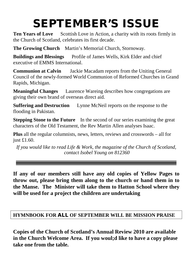# SEPTEMBER'S ISSUE

**Ten Years of Love** Scottish Love in Action, a charity with its roots firmly in the Church of Scotland, celebrates its first decade.

**The Growing Church** Martin's Memorial Church, Stornoway.

**Buildings and Blessings** Profile of James Wells, Kirk Elder and chief executive of EMMS International.

**Communion at Calvin** Jackie Macadam reports from the Uniting General Council of the newly-formed World Communion of Reformed Churches in Grand Rapids, Michigan.

**Meaningful Changes** Laurence Wareing describes how congregations are giving their own brand of overseas direct aid.

**Suffering and Destruction** Lynne McNeil reports on the response to the flooding in Pakistan.

**Stepping Stone to the Future** In the second of our series examining the great characters of the Old Testament, the Rev Martin Allen analyses Isaac.

**Plus** all the regular columnists, news, letters, reviews and crosswords – all for just £1.60.

*If you would like to read Life & Work, the magazine of the Church of Scotland, contact Isobel Young on 812360*

**If any of our members still have any old copies of Yellow Pages to throw out, please bring them along to the church or hand them in to the Manse. The Minister will take them to Hatton School where they will be used for a project the children are undertaking**

#### **HYMNBOOK FOR** ALL **OF SEPTEMBER WILL BE MISSION PRAISE**

**Copies of the Church of Scotland's Annual Review 2010 are available in the Church Welcome Area. If you woul;d like to have a copy please take one from the table.**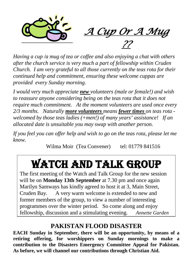

*Having a cup /a mug of tea or coffee and also enjoying a chat with others after the church service is very much a part of fellowship within Cruden Church. I am very grateful to all those currently on the teas rota for their continued help and commitment, ensuring these welcome cuppas are provided every Sunday morning.*

*I would very much appreciate new volunteers (male or female!) and wish to reassure anyone considering being on the teas rota that it does not require much commitment. At the moment volunteers are used once every 2/3 months. Naturally more volunteers means fewer times on teas rota welcomed by those teas ladies (+men!) of many years' assistance! If an allocated date is unsuitable you may swap with another person.*

*If you feel you can offer help and wish to go on the teas rota, please let me know.*

Wilma Moir (Tea Convener) tel: 01779 841516

# WATCH AND TALK group

The first meeting of the Watch and Talk Group for the new session will be on **Monday 13th September** at 7.30 pm and once again Marilyn Samways has kindly agreed to host it at 3, Main Street, Cruden Bay. A very warm welcome is extended to new and former members of the group, to view a number of interesting programmes over the winter period. So come along and enjoy fellowship, discussion and a stimulating evening. *Annette Garden*

#### **PAKISTAN FLOOD DISASTER**

**EACH Sunday in September, there will be an opportunity, by means of a retiring offering, for worshippers on Sunday mornings to make a contribution to the Disasters Emergency Committee Appeal for Pakistan. As before, we will channel our contributions through Christian Aid.**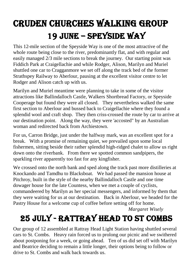# Cruden CHURCHes WALKing group 19 jUNE – SPEYSIDE WAY

This 12-mile section of the Speyside Way is one of the most attractive of the whole route being close to the river, predominantly flat, and with regular and easily managed 2/3 mile sections to break the journey. Our starting point was Fiddich Park at Craigellachie and while Rodger, Alison, Marilyn and Muriel shuttled one car to Cragganmore we set off along the track bed of the former Strathspey Railway to Aberlour, pausing at the excellent visitor centre to let Rodger and Alison catch up with us.

Marilyn and Muriel meantime were planning to take in some of the visitor attractions like Ballindalloch Castle, Walkers Shortbread Factory, or Speyside Cooperage but found they were all closed. They nevertheless walked the same first section to Aberlour and bussed back to Craigellachie where they found a splendid wool and craft shop. They then criss-crossed the route by car to arrive at our destination point. Along the way, they were 'accosted" by an Australian woman and redirected back from Archiestown.

For us, Carron Bridge, just under the halfway mark, was an excellent spot for a break. With a promise of remaining quiet, we prevailed upon some local fishermen, sitting beside their rather splendid high-ridged chalet to allow us right down onto the riverbank. From there we spotted common sandpipers, the sparkling river apparently too fast for any kingfisher.

We crossed onto the north bank and sped along the track past more distilleries at Knockando and Tamdhu to Blacksboat. We had passed the mansion house at Pitchroy, built in the style of the nearby Ballindalloch Castle and one time dowager house for the late Countess, when we met a couple of cyclists, commandeered by Marilyn as her special messengers, and informed by them that they were waiting for us at our destination. Back in Aberlour, we headed for the Pastry House for a welcome cup of coffee before setting off for home.

*Margaret Wisely*

## 25 July - Rattray Head to ST combs

Our group of 12 assembled at Rattray Head Light Station having shuttled several cars to St. Combs. Heavy rain forced us to prolong our picnic and we swithered about postponing for a week, or going ahead. Ten of us did set off with Marilyn and Beatrice deciding to remain a little longer, their options being to follow or drive to St. Combs and walk back towards us.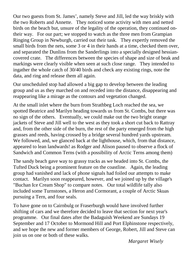Our two guests from St. James', namely Steve and Jill, led the way briskly with the two Roberts and Annette. They noticed some activity with men and netted birds on the beach but, unsure of the legality of the operation, they continued ontheir way. For our part; we stopped to watch as the three men from Grampian Ringing Group in Newburgh, carried out their task. They expertly removed the small birds from the nets, some 3 or 4 in their hands at a time, checked them over, and separated the Dunlins from the Sanderlings into a specially designed hessiancovered crate. The differences between the species of shape and size of beak and markings were clearly visible when seen at such close range. They intended to ingather the whole catch of 30/40 birds and check any existing rings, note the data, and ring and release them all again.

Our unscheduled stop had allowed a big gap to develop between the leading group and us as they marched on and receded into the distance, disappearing and reappearing like a mirage as the contours and vegetation changed.

At the small inlet where the burn from Strathbeg Loch reached the sea, we spotted Beatrice and Marilyn heading towards us from St. Combs, but there was no sign of the others. Eventually, we could make out the two bright orange jackets of Steve and Jill well to the west as they took a short cut back to Rattray and, from the other side of the burn, the rest of the party emerged from the high grasses and reeds, having crossed by a bridge several hundred yards upstream. We followed, and, we glanced back at the lighthouse, which, from that distance, appeared to lean landwards! as Rodger and Alison paused to observe a flock of Sandwich and Common Terns (with a possibility of Arctic Terns among them)

The sandy beach gave way to grassy tracks as we headed into St. Combs, the Tufted Duck being a prominent feature on the coastline. Again, the leading group had vanished and lack of phone signals had foiled our attempts to make contact. Marilyn soon reappeared, however, and we joined up by the village's "Buchan Ice Cream Shop" to compare notes. Our total wildlife tally also included some Turnstones, a Heron and Cormorant, a couple of Arctic Skuas pursuing a Tern, and four seals.

To have gone on to Cairnbulg or Fraserburgh would have involved further shifting of cars and we therefore decided to leave that section for next year's programme. Our final dates after the Badaguish Weekend are Sundays 19 September and 17 October to Mormond Hill and Port Elphinstone respectively, and we hope the new and former members of George, Robert, Jill and Steve can join us on one or both of these walks.

*Margaret Wisely*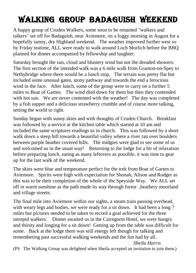## WALKing group BADAGUISH WEEKEND

A happy group of Cruden Walkers, some soon to be renamed "walkers and talkers" set off for Badaguish, near Aviemore, on a foggy morning in August for a hopefully sunny, dry Highland weekend. The weather improved further west so by Friday teatime, ALL were ready to walk around Loch Morlich before the BBQ planned for dinner accompanied by fellowship and laughter.

Saturday brought the sun, cloud and blustery wind but not the dreaded showers. The first section of the intended walk was a 6 mile walk from Granton-on-Spey to Nethybridge where there would be a lunch stop. The terrain was pretty flat but included some unusual gates, stony pathway and towards the end a ferocious wind in the face. After lunch, some of the group were to carry on a further 5 miles to Boat of Garten. The wind died down for them but then they contended with hot sun. We are never contented with the weather! The day was completed by a fish supper and a delicious strawberry crumble and of course more talking, setting the world to right.

Sunday began with sunny skies and with thoughts of Cruden Church. Breakfast was followed by a service at the kitchen table which started at 10 am and included the same scriptures readings as in church. This was followed by a short walk down a steep hill towards a beautiful valley where a river ran over boulders between purple heather covered hills. The midgies were glad to see some of us and welcomed us in the usual way! Returning to the lodge for a bit of relaxation before preparing lunch, eating as many leftovers as possible, it was time to gear up for the last walk of the weekend.

The skies were blue and temperature perfect for the trek from Boat of Garten to Aviemore. Spirits were high with expectation for Shonah, Alison and Rodger as this was to be their completion of the whole of the Speyside Way. We ALL set off in warm sunshine as the path made its way through forest ,heathery moorland and village streets.

The final mile into Aviemore within our sights, a steam train passing overhead, with weary legs and bodies, we were ready for a sit down. It had been a long 7 miles but pictures needed to be taken to record a goal achieved for the three intrepid walkers. Dinner awaited us in the Cairngorm Hotel, we were hungry and thirsty and longing for a sit down! Getting up from the table was difficult for some. Back at the lodge there was still energy left though for talking and remembering past successful walking weekends and the fun had by all.  *Sheila Harris*

(PS The Walking Group was delighted when Sheila accepted an invitation to join them.)